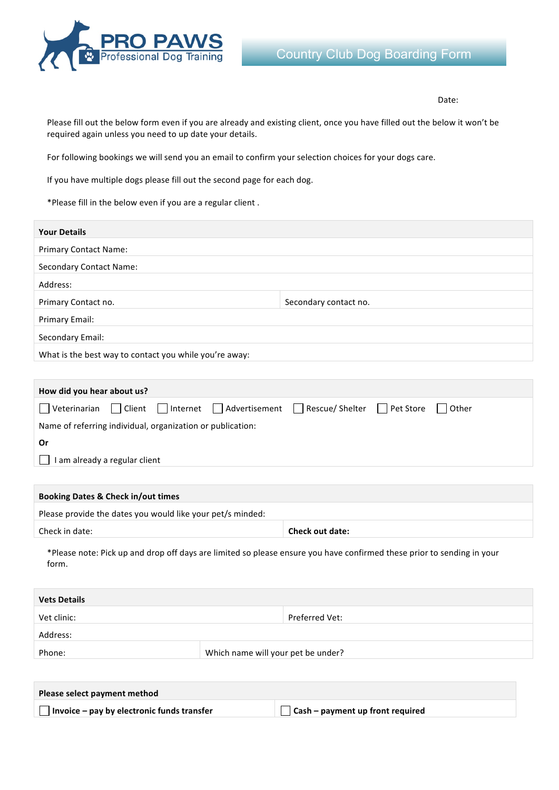

Date: 

Please fill out the below form even if you are already and existing client, once you have filled out the below it won't be required again unless you need to up date your details.

For following bookings we will send you an email to confirm your selection choices for your dogs care.

If you have multiple dogs please fill out the second page for each dog.

\*Please fill in the below even if you are a regular client.

| <b>Your Details</b>                                    |                       |
|--------------------------------------------------------|-----------------------|
| <b>Primary Contact Name:</b>                           |                       |
| <b>Secondary Contact Name:</b>                         |                       |
| Address:                                               |                       |
| Primary Contact no.                                    | Secondary contact no. |
| Primary Email:                                         |                       |
| Secondary Email:                                       |                       |
| What is the best way to contact you while you're away: |                       |

| How did you hear about us?                                 |  |                                                                                          |  |
|------------------------------------------------------------|--|------------------------------------------------------------------------------------------|--|
|                                                            |  | D Veterinarian D Client D Internet D Advertisement D Rescue/ Shelter D Pet Store U Other |  |
| Name of referring individual, organization or publication: |  |                                                                                          |  |
| .Or                                                        |  |                                                                                          |  |
| I am already a regular client                              |  |                                                                                          |  |
|                                                            |  |                                                                                          |  |

| <b>Booking Dates &amp; Check in/out times</b>              |                        |  |
|------------------------------------------------------------|------------------------|--|
| Please provide the dates you would like your pet/s minded: |                        |  |
| Check in date:                                             | <b>Check out date:</b> |  |

\*Please note: Pick up and drop off days are limited so please ensure you have confirmed these prior to sending in your form. 

| <b>Vets Details</b> |                                    |  |
|---------------------|------------------------------------|--|
| Vet clinic:         | Preferred Vet:                     |  |
| Address:            |                                    |  |
| Phone:              | Which name will your pet be under? |  |

| Please select payment method                      |                                         |
|---------------------------------------------------|-----------------------------------------|
| $\Box$ Invoice – pay by electronic funds transfer | $\Box$ Cash – payment up front required |